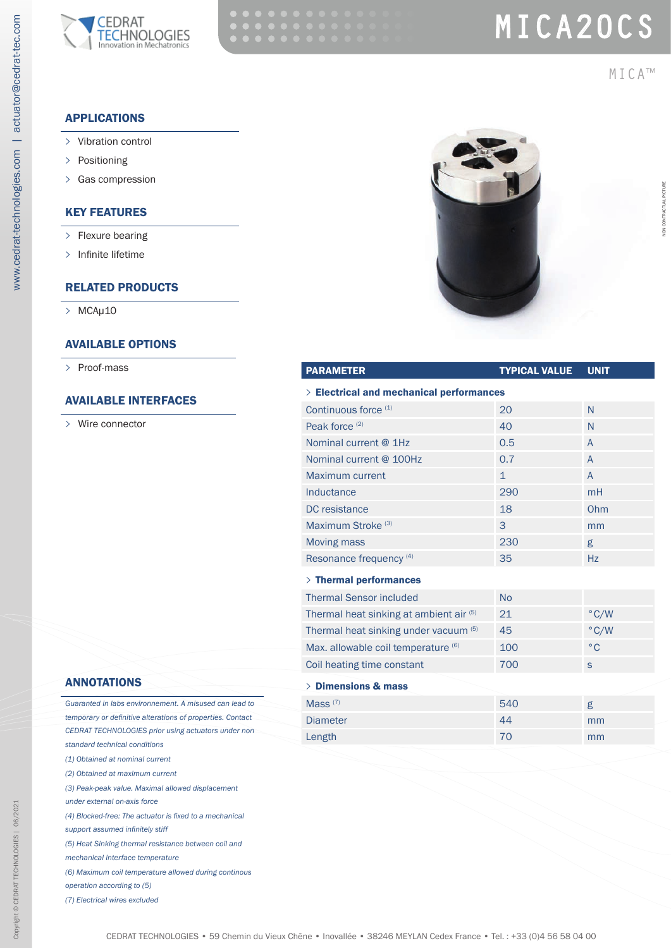

# MICA20CS

MICA™

## APPLICATIONS

- **>** Vibration control
- **>** Positioning

www.cedrat-technologies.com | actuator@cedrat-tec.com

www.cedrat-technologies.com | actuator@cedrat-tec.com

**>** Gas compression

#### KEY FEATURES

- **>** Flexure bearing
- **>** Infinite lifetime

### RELATED PRODUCTS

**>** MCAµ10

#### AVAILABLE OPTIONS

**>** Proof-mass

#### AVAILABLE INTERFACES

**>** Wire connector



| <b>PARAMETER</b>                              | <b>TYPICAL VALUE</b> | <b>UNIT</b>   |
|-----------------------------------------------|----------------------|---------------|
| $\geq$ Electrical and mechanical performances |                      |               |
| Continuous force (1)                          | 20                   | N             |
| Peak force <sup>(2)</sup>                     | 40                   | N             |
| Nominal current @ 1Hz                         | 0.5                  | $\mathsf{A}$  |
| Nominal current @ 100Hz                       | 0.7                  | $\mathsf{A}$  |
| <b>Maximum current</b>                        | $\mathbf{1}$         | $\mathsf{A}$  |
| Inductance                                    | 290                  | mH            |
| DC resistance                                 | 18                   | Ohm           |
| Maximum Stroke <sup>(3)</sup>                 | 3                    | mm            |
| <b>Moving mass</b>                            | 230                  | g             |
| Resonance frequency <sup>(4)</sup>            | 35                   | <b>Hz</b>     |
| $>$ Thermal performances                      |                      |               |
| <b>Thermal Sensor included</b>                | <b>No</b>            |               |
| Thermal heat sinking at ambient air (5)       | 21                   | $\degree$ C/W |
| Thermal heat sinking under vacuum (5)         | 45                   | $\degree$ C/W |
| Max. allowable coil temperature (6)           | 100                  | $^{\circ}$ C  |
| Coil heating time constant                    | 700                  | $\mathsf{s}$  |
| > Dimensions & mass                           |                      |               |
| Mass $(7)$                                    | 540                  | g             |
| <b>Diameter</b>                               | 44                   | mm            |
| Length                                        | 70                   | mm            |
|                                               |                      |               |

#### ANNOTATIONS

| Guaranted in labs environnement. A misused can lead to     |
|------------------------------------------------------------|
| temporary or definitive alterations of properties. Contact |
| CEDRAT TECHNOLOGIES prior using actuators under non        |
| standard technical conditions                              |
| (1) Obtained at nominal current                            |
| (2) Obtained at maximum current                            |
| (3) Peak-peak value. Maximal allowed displacement          |
| under external on-axis force                               |
| (4) Blocked-free: The actuator is fixed to a mechanical    |
| support assumed infinitely stiff                           |
| (5) Heat Sinking thermal resistance between coil and       |
| mechanical interface temperature                           |
| (6) Maximum coil temperature allowed during continous      |
| operation according to (5)                                 |